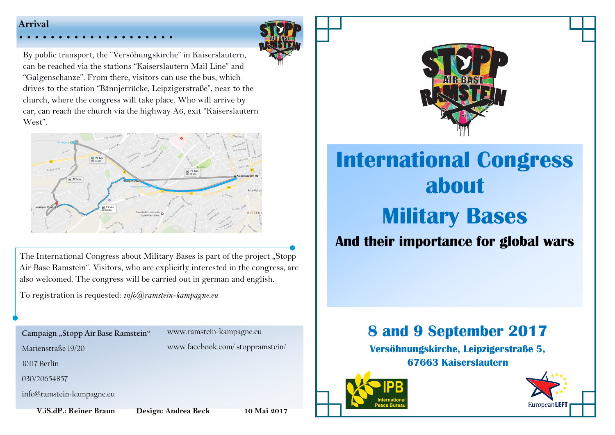### **Arrival**



By public transport, the "Versöhungskirche" in Kaiserslautern, can be reached via the stations "Kaiserslautern Mail Line" and "Galgenschanze". From there, visitors can use the bus, which drives to the station "Bännjerrücke, Leipzigerstraße", near to the church, where the congress will take place. Who will arrive by car, can reach the church via the highway A6, exit "Kaiserslautern West".



The International Congress about Military Bases is part of the project "Stopp Air Base Ramstein". Visitors, who are explicitly interested in the congress, are also welcomed. The congress will be carried out in german and english.

To registration is requested: *info@ramstein-kampagne.eu* 

**Campaign "Stopp Air Base Ramstein"** 

www.ramstein-kampagne.eu www.facebook.com/ stoppramstein/

Marienstraße 19/20

10117 Berlin

030/20654857

info@ramstein-kampagne.eu

 **V.iS.dP.: Reiner Braun Design: Andrea Beck 10 Mai 2017**



# **International Congress about Military Bases**

## **And their importance for global wars**

## **8 and 9 September 2017**

**Versöhnungskirche, Leipzigerstraße 5, 67663 Kaiserslautern**